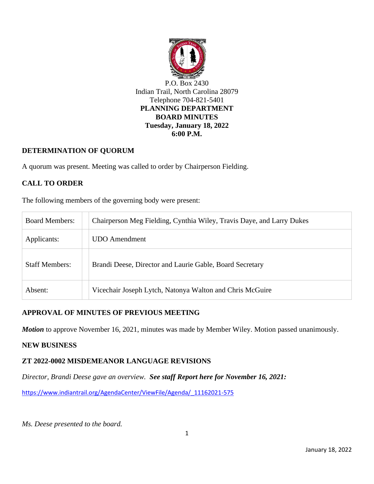

## **DETERMINATION OF QUORUM**

A quorum was present. Meeting was called to order by Chairperson Fielding.

# **CALL TO ORDER**

The following members of the governing body were present:

| <b>Board Members:</b> | Chairperson Meg Fielding, Cynthia Wiley, Travis Daye, and Larry Dukes |
|-----------------------|-----------------------------------------------------------------------|
| Applicants:           | <b>UDO</b> Amendment                                                  |
| <b>Staff Members:</b> | Brandi Deese, Director and Laurie Gable, Board Secretary              |
| Absent:               | Vicechair Joseph Lytch, Natonya Walton and Chris McGuire              |

## **APPROVAL OF MINUTES OF PREVIOUS MEETING**

*Motion* to approve November 16, 2021, minutes was made by Member Wiley. Motion passed unanimously.

#### **[NEW](http://indiantrail.granicus.com/MediaPlayer.php?view_id=&clip_id=768&meta_id=75407) BUSINESS**

#### **ZT 2022-0002 MISDEMEANOR LANGUAGE REVISIONS**

*Director, Brandi Deese gave an overview. See staff Report here for November 16, 2021:* 

[https://www.indiantrail.org/AgendaCenter/ViewFile/Agenda/\\_11162021-575](https://www.indiantrail.org/AgendaCenter/ViewFile/Agenda/_11162021-575)

*Ms. Deese presented to the board.*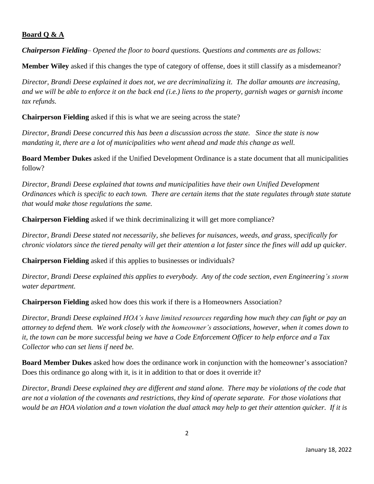## **Board Q & A**

*Chairperson Fielding– Opened the floor to board questions. Questions and comments are as follows:* 

**Member Wiley** asked if this changes the type of category of offense, does it still classify as a misdemeanor?

*Director, Brandi Deese explained it does not, we are decriminalizing it. The dollar amounts are increasing, and we will be able to enforce it on the back end (i.e.) liens to the property, garnish wages or garnish income tax refunds.*

**Chairperson Fielding** asked if this is what we are seeing across the state?

*Director, Brandi Deese concurred this has been a discussion across the state. Since the state is now mandating it, there are a lot of municipalities who went ahead and made this change as well.*

**Board Member Dukes** asked if the Unified Development Ordinance is a state document that all municipalities follow?

*Director, Brandi Deese explained that towns and municipalities have their own Unified Development Ordinances which is specific to each town. There are certain items that the state regulates through state statute that would make those regulations the same.* 

**Chairperson Fielding** asked if we think decriminalizing it will get more compliance?

*Director, Brandi Deese stated not necessarily, she believes for nuisances, weeds, and grass, specifically for chronic violators since the tiered penalty will get their attention a lot faster since the fines will add up quicker.*

**Chairperson Fielding** asked if this applies to businesses or individuals?

*Director, Brandi Deese explained this applies to everybody. Any of the code section, even Engineering's storm water department.*

**Chairperson Fielding** asked how does this work if there is a Homeowners Association?

*Director, Brandi Deese explained HOA's have limited resources regarding how much they can fight or pay an attorney to defend them. We work closely with the homeowner's associations, however, when it comes down to it, the town can be more successful being we have a Code Enforcement Officer to help enforce and a Tax Collector who can set liens if need be.*

**Board Member Dukes** asked how does the ordinance work in conjunction with the homeowner's association? Does this ordinance go along with it, is it in addition to that or does it override it?

*Director, Brandi Deese explained they are different and stand alone. There may be violations of the code that are not a violation of the covenants and restrictions, they kind of operate separate. For those violations that would be an HOA violation and a town violation the dual attack may help to get their attention quicker. If it is*